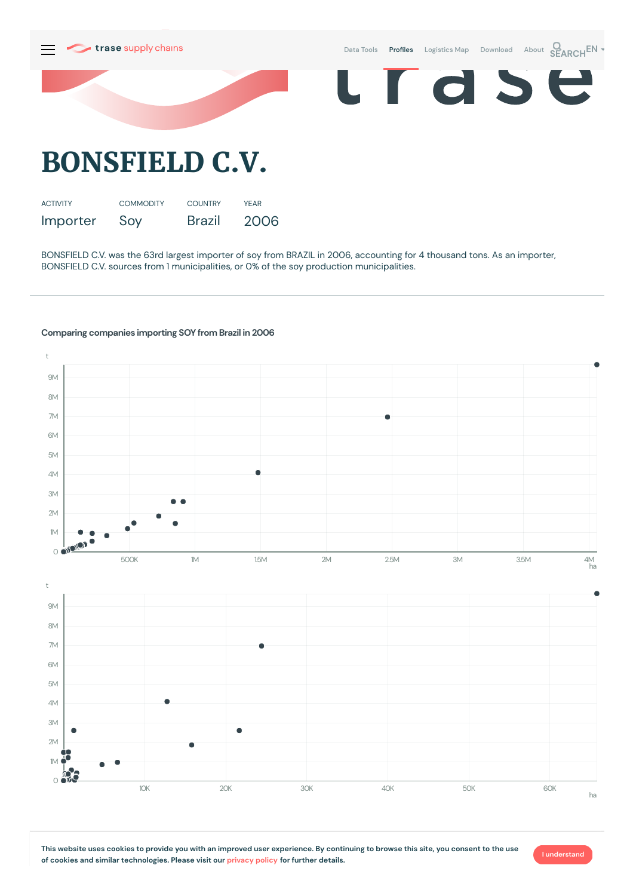

BONSFIELD C.V. was the 63rd largest importer of soy from BRAZIL in 2006, accounting for 4 thousand tons. As an importer, BONSFIELD C.V. sources from 1 municipalities, or 0% of the soy production municipalities.

## **Comparing companies importing SOY from Brazil in 2006**



**I understand**